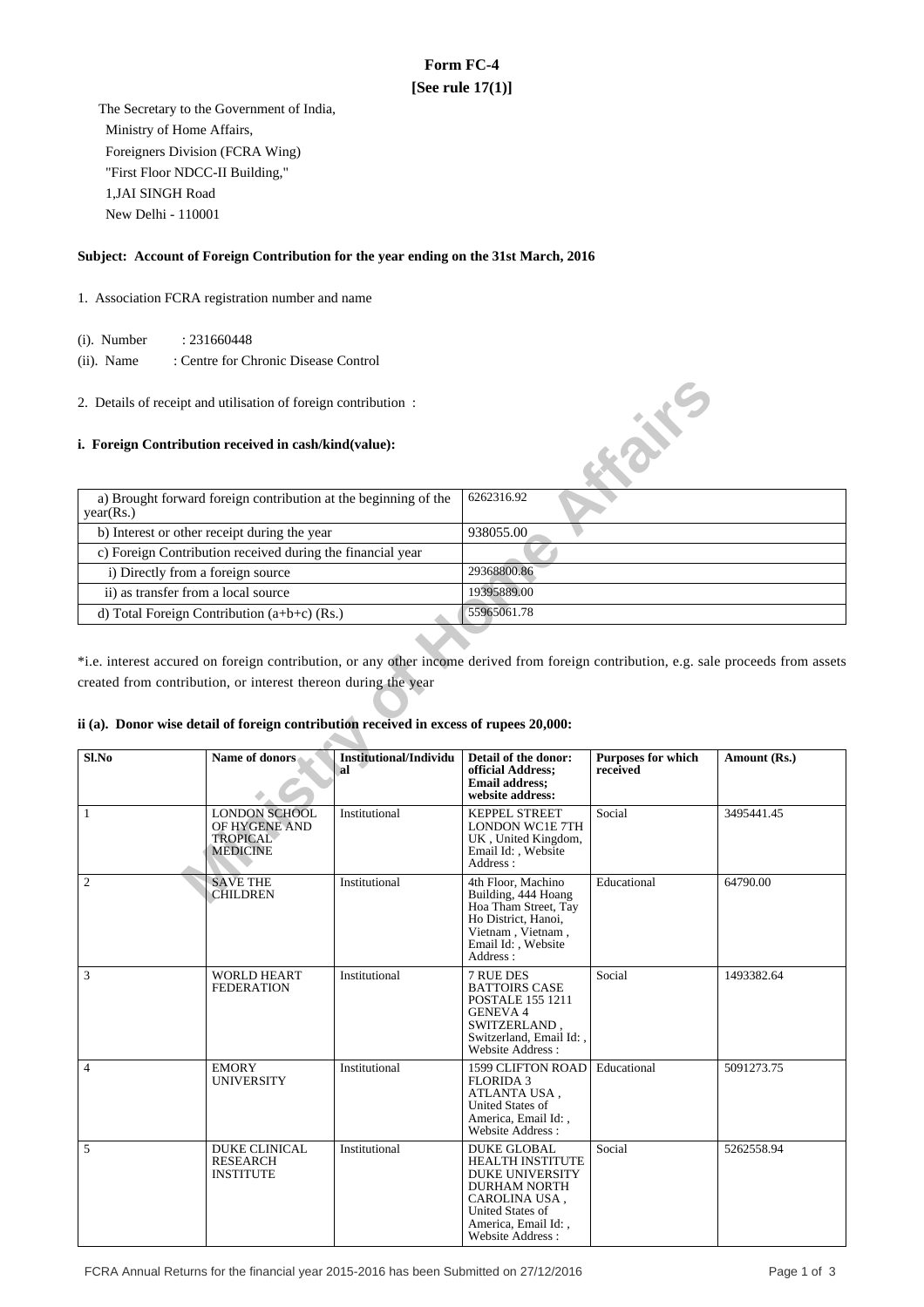# **Form FC-4 [See rule 17(1)]**

 The Secretary to the Government of India, Ministry of Home Affairs, Foreigners Division (FCRA Wing) "First Floor NDCC-II Building," 1,JAI SINGH Road New Delhi - 110001

## **Subject: Account of Foreign Contribution for the year ending on the 31st March, 2016**

- 1. Association FCRA registration number and name
	- (i). Number : 231660448
	- (ii). Name : Centre for Chronic Disease Control
- 2. Details of receipt and utilisation of foreign contribution :

### **i. Foreign Contribution received in cash/kind(value):**

| a) Brought forward foreign contribution at the beginning of the<br>year(Rs.) | 6262316.92  |
|------------------------------------------------------------------------------|-------------|
| b) Interest or other receipt during the year                                 | 938055.00   |
| c) Foreign Contribution received during the financial year                   |             |
| i) Directly from a foreign source                                            | 29368800.86 |
| ii) as transfer from a local source                                          | 19395889.00 |
| d) Total Foreign Contribution $(a+b+c)$ (Rs.)                                | 55965061.78 |

### **ii (a). Donor wise detail of foreign contribution received in excess of rupees 20,000:**

| 2. Details of receipt and utilisation of foreign contribution :<br><b>Kaike</b>        |                                                                             |                                            |                                                                                                                                                                                       |                                       |                                                                                                                                       |  |  |
|----------------------------------------------------------------------------------------|-----------------------------------------------------------------------------|--------------------------------------------|---------------------------------------------------------------------------------------------------------------------------------------------------------------------------------------|---------------------------------------|---------------------------------------------------------------------------------------------------------------------------------------|--|--|
| i. Foreign Contribution received in cash/kind(value):                                  |                                                                             |                                            |                                                                                                                                                                                       |                                       |                                                                                                                                       |  |  |
| a) Brought forward foreign contribution at the beginning of the<br>year(Rs.)           |                                                                             |                                            | 6262316.92                                                                                                                                                                            |                                       |                                                                                                                                       |  |  |
|                                                                                        | b) Interest or other receipt during the year                                |                                            | 938055.00                                                                                                                                                                             |                                       |                                                                                                                                       |  |  |
|                                                                                        | c) Foreign Contribution received during the financial year                  |                                            |                                                                                                                                                                                       |                                       |                                                                                                                                       |  |  |
| i) Directly from a foreign source                                                      |                                                                             |                                            | 29368800.86                                                                                                                                                                           |                                       |                                                                                                                                       |  |  |
| ii) as transfer from a local source                                                    |                                                                             |                                            | 19395889.00                                                                                                                                                                           |                                       |                                                                                                                                       |  |  |
|                                                                                        | d) Total Foreign Contribution (a+b+c) (Rs.)                                 |                                            | 55965061.78                                                                                                                                                                           |                                       |                                                                                                                                       |  |  |
|                                                                                        |                                                                             |                                            |                                                                                                                                                                                       |                                       |                                                                                                                                       |  |  |
|                                                                                        |                                                                             |                                            |                                                                                                                                                                                       |                                       | *i.e. interest accured on foreign contribution, or any other income derived from foreign contribution, e.g. sale proceeds from assets |  |  |
| created from contribution, or interest thereon during the year                         |                                                                             |                                            |                                                                                                                                                                                       |                                       |                                                                                                                                       |  |  |
|                                                                                        |                                                                             |                                            |                                                                                                                                                                                       |                                       |                                                                                                                                       |  |  |
|                                                                                        |                                                                             |                                            |                                                                                                                                                                                       |                                       |                                                                                                                                       |  |  |
| ii (a). Donor wise detail of foreign contribution received in excess of rupees 20,000: |                                                                             |                                            |                                                                                                                                                                                       |                                       |                                                                                                                                       |  |  |
| Sl.No                                                                                  | Name of donors                                                              | <b>Institutional/Individu</b><br><b>al</b> | Detail of the donor:<br>official Address;<br><b>Email address;</b><br>website address:                                                                                                | <b>Purposes for which</b><br>received | Amount (Rs.)                                                                                                                          |  |  |
| $\mathbf{1}$                                                                           | <b>LONDON SCHOOL</b><br>OF HYGENE AND<br><b>TROPICAL</b><br><b>MEDICINE</b> | Institutional                              | <b>KEPPEL STREET</b><br><b>LONDON WC1E 7TH</b><br>UK, United Kingdom,<br>Email Id:, Website<br>Address:                                                                               | Social                                | 3495441.45                                                                                                                            |  |  |
| $\sqrt{2}$                                                                             | <b>SAVE THE</b><br><b>CHILDREN</b>                                          | Institutional                              | 4th Floor, Machino<br>Building, 444 Hoang<br>Hoa Tham Street, Tay<br>Ho District, Hanoi,<br>Vietnam, Vietnam,<br>Email Id:, Website<br>Address:                                       | Educational                           | 64790.00                                                                                                                              |  |  |
| 3                                                                                      | <b>WORLD HEART</b><br><b>FEDERATION</b>                                     | Institutional                              | 7 RUE DES<br><b>BATTOIRS CASE</b><br><b>POSTALE 155 1211</b><br><b>GENEVA 4</b><br><b>SWITZERLAND</b><br>Switzerland, Email Id:<br>Website Address:                                   | Social                                | 1493382.64                                                                                                                            |  |  |
| $\overline{4}$                                                                         | <b>EMORY</b><br>UNIVERSITY                                                  | Institutional                              | 1599 CLIFTON ROAD   Educational<br><b>FLORIDA 3</b><br>ATLANTA USA,<br>United States of<br>America, Email Id:,<br>Website Address:                                                    |                                       | 5091273.75                                                                                                                            |  |  |
| 5                                                                                      | DUKE CLINICAL<br>RESEARCH<br><b>INSTITUTE</b>                               | Institutional                              | <b>DUKE GLOBAL</b><br><b>HEALTH INSTITUTE</b><br><b>DUKE UNIVERSITY</b><br><b>DURHAM NORTH</b><br>CAROLINA USA,<br><b>United States of</b><br>America, Email Id:,<br>Website Address: | Social                                | 5262558.94                                                                                                                            |  |  |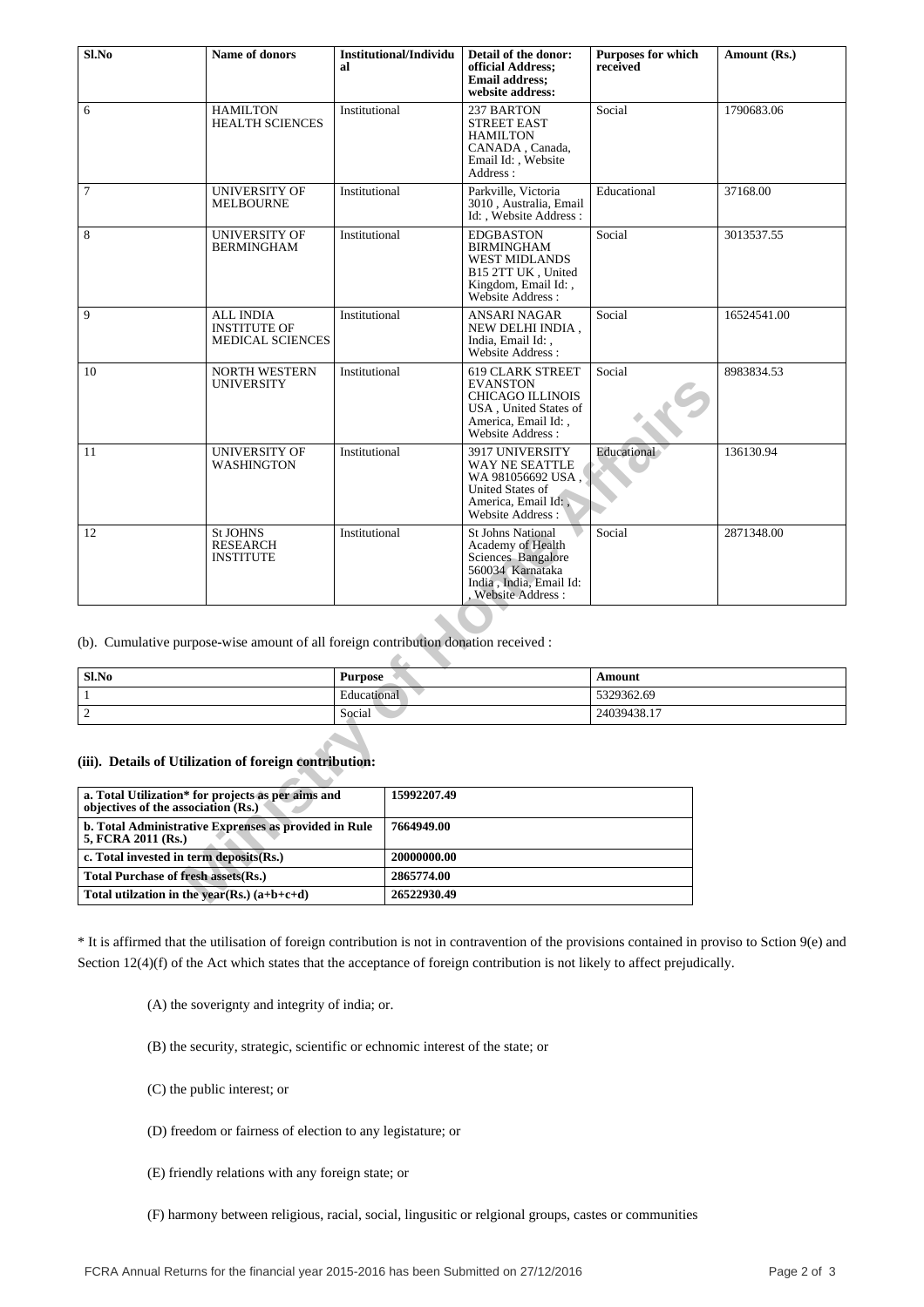| Sl.No                                                                                                    | Name of donors                                                                      | al            | Institutional/Individu | Detail of the donor:<br>official Address:<br><b>Email address:</b><br>website address:                                                           | <b>Purposes for which</b><br>received | Amount (Rs.) |  |
|----------------------------------------------------------------------------------------------------------|-------------------------------------------------------------------------------------|---------------|------------------------|--------------------------------------------------------------------------------------------------------------------------------------------------|---------------------------------------|--------------|--|
| 6                                                                                                        | <b>HAMILTON</b><br><b>HEALTH SCIENCES</b>                                           | Institutional |                        | 237 BARTON<br><b>STREET EAST</b><br><b>HAMILTON</b><br>CANADA, Canada,<br>Email Id: , Website<br>Address:                                        | Social                                | 1790683.06   |  |
| $\overline{7}$                                                                                           | <b>UNIVERSITY OF</b><br><b>MELBOURNE</b>                                            | Institutional |                        | Parkville, Victoria<br>3010, Australia, Email<br>Id: Website Address:                                                                            | Educational                           | 37168.00     |  |
| 8                                                                                                        | <b>UNIVERSITY OF</b><br><b>BERMINGHAM</b>                                           | Institutional |                        | <b>EDGBASTON</b><br><b>BIRMINGHAM</b><br><b>WEST MIDLANDS</b><br>B15 2TT UK, United<br>Kingdom, Email Id:,<br>Website Address :                  | Social                                | 3013537.55   |  |
| 9                                                                                                        | <b>ALL INDIA</b><br><b>INSTITUTE OF</b><br><b>MEDICAL SCIENCES</b>                  | Institutional |                        | ANSARI NAGAR<br>NEW DELHI INDIA,<br>India, Email Id:,<br>Website Address:                                                                        | Social                                | 16524541.00  |  |
| 10                                                                                                       | <b>NORTH WESTERN</b><br><b>UNIVERSITY</b>                                           | Institutional |                        | <b>619 CLARK STREET</b><br><b>EVANSTON</b><br><b>CHICAGO ILLINOIS</b><br>USA, United States of<br>America, Email Id:,<br><b>Website Address:</b> | Social                                | 8983834.53   |  |
| 11                                                                                                       | <b>UNIVERSITY OF</b><br><b>WASHINGTON</b>                                           | Institutional |                        | 3917 UNIVERSITY<br>WAY NE SEATTLE<br>WA 981056692 USA,<br>United States of<br>America, Email Id:<br>Website Address:                             | Educational                           | 136130.94    |  |
| 12                                                                                                       | <b>St JOHNS</b><br>RESEARCH<br><b>INSTITUTE</b>                                     | Institutional |                        | <b>St Johns National</b><br>Academy of Health<br>Sciences Bangalore<br>560034 Karnataka<br>India, India, Email Id:<br>Website Address:           | Social                                | 2871348.00   |  |
|                                                                                                          | (b). Cumulative purpose-wise amount of all foreign contribution donation received : |               |                        |                                                                                                                                                  |                                       |              |  |
| Sl.No<br><b>Purpose</b>                                                                                  |                                                                                     |               |                        |                                                                                                                                                  | Amount                                |              |  |
| Educational<br>1                                                                                         |                                                                                     |               |                        |                                                                                                                                                  | 5329362.69                            |              |  |
| $\sqrt{2}$<br>Social                                                                                     |                                                                                     |               |                        |                                                                                                                                                  | 24039438.17                           |              |  |
|                                                                                                          | (iii). Details of Utilization of foreign contribution:                              |               |                        |                                                                                                                                                  |                                       |              |  |
| a. Total Utilization* for projects as per aims and<br>15992207.49<br>objectives of the association (Rs.) |                                                                                     |               |                        |                                                                                                                                                  |                                       |              |  |
| 5, FCRA 2011 (Rs.)                                                                                       | b. Total Administrative Exprenses as provided in Rule                               |               | 7664949.00             |                                                                                                                                                  |                                       |              |  |
| c. Total invested in term deposits(Rs.)                                                                  |                                                                                     |               | 20000000.00            |                                                                                                                                                  |                                       |              |  |
| <b>Total Purchase of fresh assets (Rs.)</b>                                                              |                                                                                     |               | 2865774.00             |                                                                                                                                                  |                                       |              |  |
| Total utilization in the year(Rs.) $(a+b+c+d)$                                                           |                                                                                     |               | 26522930.49            |                                                                                                                                                  |                                       |              |  |

| Sl.No       | <b>Purpose</b> | Amount      |
|-------------|----------------|-------------|
|             | Educational    | 5329362.69  |
| $\sim$<br>∸ | Social         | 24039438.17 |

| a. Total Utilization* for projects as per aims and<br>objectives of the association (Rs.) | 15992207.49 |
|-------------------------------------------------------------------------------------------|-------------|
| b. Total Administrative Exprenses as provided in Rule<br>5, FCRA 2011 (Rs.)               | 7664949.00  |
| c. Total invested in term deposits (Rs.)                                                  | 20000000.00 |
| <b>Total Purchase of fresh assets (Rs.)</b>                                               | 2865774.00  |
| Total utilization in the year(Rs.) $(a+b+c+d)$                                            | 26522930.49 |

\* It is affirmed that the utilisation of foreign contribution is not in contravention of the provisions contained in proviso to Sction 9(e) and Section 12(4)(f) of the Act which states that the acceptance of foreign contribution is not likely to affect prejudically.

(A) the soverignty and integrity of india; or.

(B) the security, strategic, scientific or echnomic interest of the state; or

(C) the public interest; or

- (D) freedom or fairness of election to any legistature; or
- (E) friendly relations with any foreign state; or
- (F) harmony between religious, racial, social, lingusitic or relgional groups, castes or communities